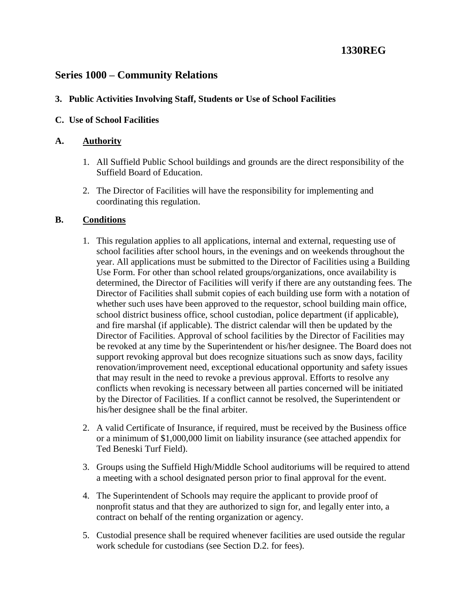# **1330REG**

## **Series 1000 – Community Relations**

#### **3. Public Activities Involving Staff, Students or Use of School Facilities**

#### **C. Use of School Facilities**

#### **A. Authority**

- 1. All Suffield Public School buildings and grounds are the direct responsibility of the Suffield Board of Education.
- 2. The Director of Facilities will have the responsibility for implementing and coordinating this regulation.

#### **B. Conditions**

- 1. This regulation applies to all applications, internal and external, requesting use of school facilities after school hours, in the evenings and on weekends throughout the year. All applications must be submitted to the Director of Facilities using a Building Use Form. For other than school related groups/organizations, once availability is determined, the Director of Facilities will verify if there are any outstanding fees. The Director of Facilities shall submit copies of each building use form with a notation of whether such uses have been approved to the requestor, school building main office, school district business office, school custodian, police department (if applicable), and fire marshal (if applicable). The district calendar will then be updated by the Director of Facilities. Approval of school facilities by the Director of Facilities may be revoked at any time by the Superintendent or his/her designee. The Board does not support revoking approval but does recognize situations such as snow days, facility renovation/improvement need, exceptional educational opportunity and safety issues that may result in the need to revoke a previous approval. Efforts to resolve any conflicts when revoking is necessary between all parties concerned will be initiated by the Director of Facilities. If a conflict cannot be resolved, the Superintendent or his/her designee shall be the final arbiter.
- 2. A valid Certificate of Insurance, if required, must be received by the Business office or a minimum of \$1,000,000 limit on liability insurance (see attached appendix for Ted Beneski Turf Field).
- 3. Groups using the Suffield High/Middle School auditoriums will be required to attend a meeting with a school designated person prior to final approval for the event.
- 4. The Superintendent of Schools may require the applicant to provide proof of nonprofit status and that they are authorized to sign for, and legally enter into, a contract on behalf of the renting organization or agency.
- 5. Custodial presence shall be required whenever facilities are used outside the regular work schedule for custodians (see Section D.2. for fees).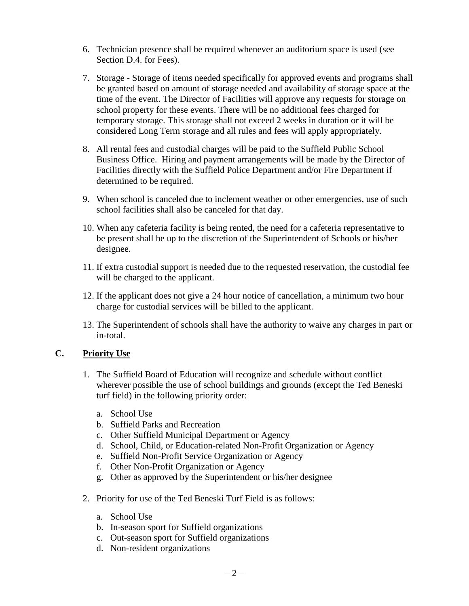- 6. Technician presence shall be required whenever an auditorium space is used (see Section D.4. for Fees).
- 7. Storage Storage of items needed specifically for approved events and programs shall be granted based on amount of storage needed and availability of storage space at the time of the event. The Director of Facilities will approve any requests for storage on school property for these events. There will be no additional fees charged for temporary storage. This storage shall not exceed 2 weeks in duration or it will be considered Long Term storage and all rules and fees will apply appropriately.
- 8. All rental fees and custodial charges will be paid to the Suffield Public School Business Office. Hiring and payment arrangements will be made by the Director of Facilities directly with the Suffield Police Department and/or Fire Department if determined to be required.
- 9. When school is canceled due to inclement weather or other emergencies, use of such school facilities shall also be canceled for that day.
- 10. When any cafeteria facility is being rented, the need for a cafeteria representative to be present shall be up to the discretion of the Superintendent of Schools or his/her designee.
- 11. If extra custodial support is needed due to the requested reservation, the custodial fee will be charged to the applicant.
- 12. If the applicant does not give a 24 hour notice of cancellation, a minimum two hour charge for custodial services will be billed to the applicant.
- 13. The Superintendent of schools shall have the authority to waive any charges in part or in-total.

### **C. Priority Use**

- 1. The Suffield Board of Education will recognize and schedule without conflict wherever possible the use of school buildings and grounds (except the Ted Beneski turf field) in the following priority order:
	- a. School Use
	- b. Suffield Parks and Recreation
	- c. Other Suffield Municipal Department or Agency
	- d. School, Child, or Education-related Non-Profit Organization or Agency
	- e. Suffield Non-Profit Service Organization or Agency
	- f. Other Non-Profit Organization or Agency
	- g. Other as approved by the Superintendent or his/her designee
- 2. Priority for use of the Ted Beneski Turf Field is as follows:
	- a. School Use
	- b. In-season sport for Suffield organizations
	- c. Out-season sport for Suffield organizations
	- d. Non-resident organizations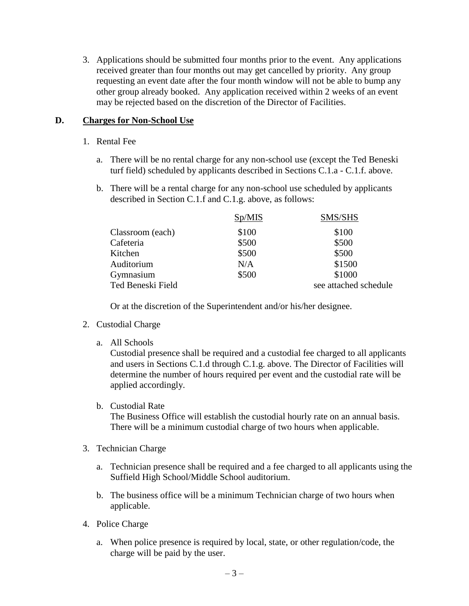3. Applications should be submitted four months prior to the event. Any applications received greater than four months out may get cancelled by priority. Any group requesting an event date after the four month window will not be able to bump any other group already booked. Any application received within 2 weeks of an event may be rejected based on the discretion of the Director of Facilities.

### **D. Charges for Non-School Use**

- 1. Rental Fee
	- a. There will be no rental charge for any non-school use (except the Ted Beneski turf field) scheduled by applicants described in Sections C.1.a - C.1.f. above.
	- b. There will be a rental charge for any non-school use scheduled by applicants described in Section C.1.f and C.1.g. above, as follows:

|                   | Sp/MIS | SMS/SHS               |
|-------------------|--------|-----------------------|
| Classroom (each)  | \$100  | \$100                 |
| Cafeteria         | \$500  | \$500                 |
| Kitchen           | \$500  | \$500                 |
| Auditorium        | N/A    | \$1500                |
| Gymnasium         | \$500  | \$1000                |
| Ted Beneski Field |        | see attached schedule |

Or at the discretion of the Superintendent and/or his/her designee.

- 2. Custodial Charge
	- a. All Schools

Custodial presence shall be required and a custodial fee charged to all applicants and users in Sections C.1.d through C.1.g. above. The Director of Facilities will determine the number of hours required per event and the custodial rate will be applied accordingly.

b. Custodial Rate

The Business Office will establish the custodial hourly rate on an annual basis. There will be a minimum custodial charge of two hours when applicable.

- 3. Technician Charge
	- a. Technician presence shall be required and a fee charged to all applicants using the Suffield High School/Middle School auditorium.
	- b. The business office will be a minimum Technician charge of two hours when applicable.
- 4. Police Charge
	- a. When police presence is required by local, state, or other regulation/code, the charge will be paid by the user.